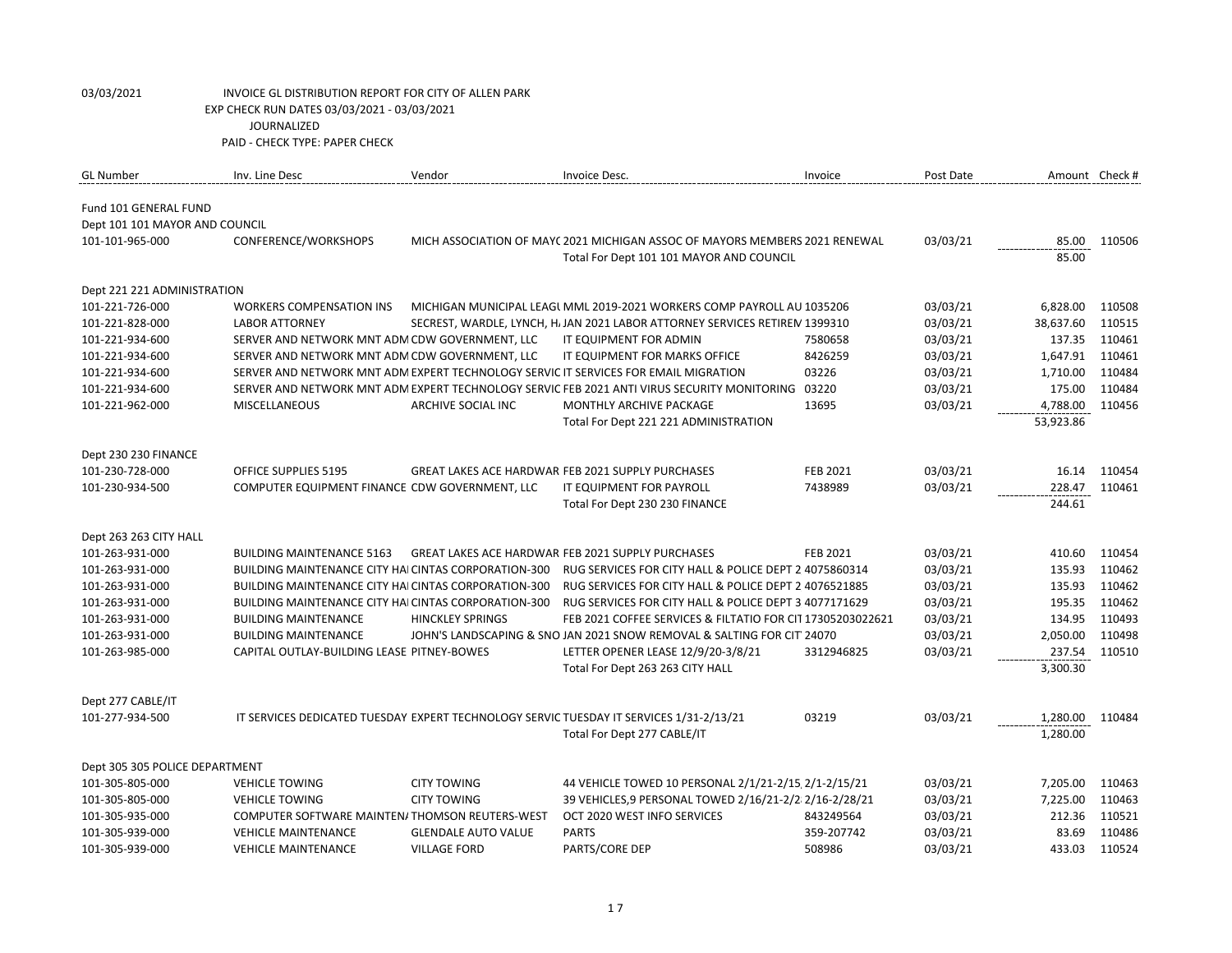| <b>GL Number</b>               | Inv. Line Desc                                              | Vendor                     | Invoice Desc.                                                                                     | Invoice         | Post Date |           | Amount Check # |
|--------------------------------|-------------------------------------------------------------|----------------------------|---------------------------------------------------------------------------------------------------|-----------------|-----------|-----------|----------------|
| Fund 101 GENERAL FUND          |                                                             |                            |                                                                                                   |                 |           |           |                |
| Dept 101 101 MAYOR AND COUNCIL |                                                             |                            |                                                                                                   |                 |           |           |                |
| 101-101-965-000                | CONFERENCE/WORKSHOPS                                        |                            | MICH ASSOCIATION OF MAYC 2021 MICHIGAN ASSOC OF MAYORS MEMBERS 2021 RENEWAL                       |                 | 03/03/21  | 85.00     | 110506         |
|                                |                                                             |                            | Total For Dept 101 101 MAYOR AND COUNCIL                                                          |                 |           | 85.00     |                |
| Dept 221 221 ADMINISTRATION    |                                                             |                            |                                                                                                   |                 |           |           |                |
| 101-221-726-000                | <b>WORKERS COMPENSATION INS</b>                             |                            | MICHIGAN MUNICIPAL LEAGUMML 2019-2021 WORKERS COMP PAYROLL AU 1035206                             |                 | 03/03/21  | 6,828.00  | 110508         |
| 101-221-828-000                | <b>LABOR ATTORNEY</b>                                       |                            | SECREST, WARDLE, LYNCH, H. JAN 2021 LABOR ATTORNEY SERVICES RETIREM 1399310                       |                 | 03/03/21  | 38,637.60 | 110515         |
| 101-221-934-600                | SERVER AND NETWORK MNT ADM CDW GOVERNMENT, LLC              |                            | IT EQUIPMENT FOR ADMIN                                                                            | 7580658         | 03/03/21  | 137.35    | 110461         |
| 101-221-934-600                | SERVER AND NETWORK MNT ADM CDW GOVERNMENT, LLC              |                            | IT EQUIPMENT FOR MARKS OFFICE                                                                     | 8426259         | 03/03/21  | 1,647.91  | 110461         |
| 101-221-934-600                |                                                             |                            | SERVER AND NETWORK MNT ADM EXPERT TECHNOLOGY SERVIC IT SERVICES FOR EMAIL MIGRATION               | 03226           | 03/03/21  | 1,710.00  | 110484         |
| 101-221-934-600                |                                                             |                            | SERVER AND NETWORK MNT ADM EXPERT TECHNOLOGY SERVIC FEB 2021 ANTI VIRUS SECURITY MONITORING 03220 |                 | 03/03/21  | 175.00    | 110484         |
| 101-221-962-000                | <b>MISCELLANEOUS</b>                                        | ARCHIVE SOCIAL INC         | MONTHLY ARCHIVE PACKAGE                                                                           | 13695           | 03/03/21  | 4,788.00  | 110456         |
|                                |                                                             |                            | Total For Dept 221 221 ADMINISTRATION                                                             |                 |           | 53,923.86 |                |
| Dept 230 230 FINANCE           |                                                             |                            |                                                                                                   |                 |           |           |                |
| 101-230-728-000                | <b>OFFICE SUPPLIES 5195</b>                                 |                            | <b>GREAT LAKES ACE HARDWAR FEB 2021 SUPPLY PURCHASES</b>                                          | <b>FEB 2021</b> | 03/03/21  | 16.14     | 110454         |
| 101-230-934-500                | COMPUTER EQUIPMENT FINANCE CDW GOVERNMENT, LLC              |                            | IT EQUIPMENT FOR PAYROLL                                                                          | 7438989         | 03/03/21  | 228.47    | 110461         |
|                                |                                                             |                            | Total For Dept 230 230 FINANCE                                                                    |                 |           | 244.61    |                |
| Dept 263 263 CITY HALL         |                                                             |                            |                                                                                                   |                 |           |           |                |
| 101-263-931-000                | <b>BUILDING MAINTENANCE 5163</b>                            |                            | <b>GREAT LAKES ACE HARDWAR FEB 2021 SUPPLY PURCHASES</b>                                          | <b>FEB 2021</b> | 03/03/21  | 410.60    | 110454         |
| 101-263-931-000                | <b>BUILDING MAINTENANCE CITY HAI CINTAS CORPORATION-300</b> |                            | RUG SERVICES FOR CITY HALL & POLICE DEPT 2 4075860314                                             |                 | 03/03/21  | 135.93    | 110462         |
| 101-263-931-000                | BUILDING MAINTENANCE CITY HAI CINTAS CORPORATION-300        |                            | RUG SERVICES FOR CITY HALL & POLICE DEPT 2 4076521885                                             |                 | 03/03/21  | 135.93    | 110462         |
| 101-263-931-000                | BUILDING MAINTENANCE CITY HAICINTAS CORPORATION-300         |                            | RUG SERVICES FOR CITY HALL & POLICE DEPT 3 4077171629                                             |                 | 03/03/21  | 195.35    | 110462         |
| 101-263-931-000                | <b>BUILDING MAINTENANCE</b>                                 | <b>HINCKLEY SPRINGS</b>    | FEB 2021 COFFEE SERVICES & FILTATIO FOR CIT 17305203022621                                        |                 | 03/03/21  | 134.95    | 110493         |
| 101-263-931-000                | <b>BUILDING MAINTENANCE</b>                                 |                            | JOHN'S LANDSCAPING & SNO JAN 2021 SNOW REMOVAL & SALTING FOR CIT' 24070                           |                 | 03/03/21  | 2,050.00  | 110498         |
| 101-263-985-000                | CAPITAL OUTLAY-BUILDING LEASE PITNEY-BOWES                  |                            | LETTER OPENER LEASE 12/9/20-3/8/21                                                                | 3312946825      | 03/03/21  | 237.54    | 110510         |
|                                |                                                             |                            | Total For Dept 263 263 CITY HALL                                                                  |                 |           | 3,300.30  |                |
| Dept 277 CABLE/IT              |                                                             |                            |                                                                                                   |                 |           |           |                |
| 101-277-934-500                |                                                             |                            | IT SERVICES DEDICATED TUESDAY EXPERT TECHNOLOGY SERVIC TUESDAY IT SERVICES 1/31-2/13/21           | 03219           | 03/03/21  | 1,280.00  | 110484         |
|                                |                                                             |                            | Total For Dept 277 CABLE/IT                                                                       |                 |           | 1,280.00  |                |
| Dept 305 305 POLICE DEPARTMENT |                                                             |                            |                                                                                                   |                 |           |           |                |
| 101-305-805-000                | <b>VEHICLE TOWING</b>                                       | <b>CITY TOWING</b>         | 44 VEHICLE TOWED 10 PERSONAL 2/1/21-2/15 2/1-2/15/21                                              |                 | 03/03/21  | 7,205.00  | 110463         |
| 101-305-805-000                | <b>VEHICLE TOWING</b>                                       | <b>CITY TOWING</b>         | 39 VEHICLES, 9 PERSONAL TOWED 2/16/21-2/212/16-2/28/21                                            |                 | 03/03/21  | 7,225.00  | 110463         |
| 101-305-935-000                | COMPUTER SOFTWARE MAINTEN/THOMSON REUTERS-WEST              |                            | OCT 2020 WEST INFO SERVICES                                                                       | 843249564       | 03/03/21  | 212.36    | 110521         |
| 101-305-939-000                | <b>VEHICLE MAINTENANCE</b>                                  | <b>GLENDALE AUTO VALUE</b> | <b>PARTS</b>                                                                                      | 359-207742      | 03/03/21  | 83.69     | 110486         |
| 101-305-939-000                | <b>VEHICLE MAINTENANCE</b>                                  | <b>VILLAGE FORD</b>        | PARTS/CORE DEP                                                                                    | 508986          | 03/03/21  | 433.03    | 110524         |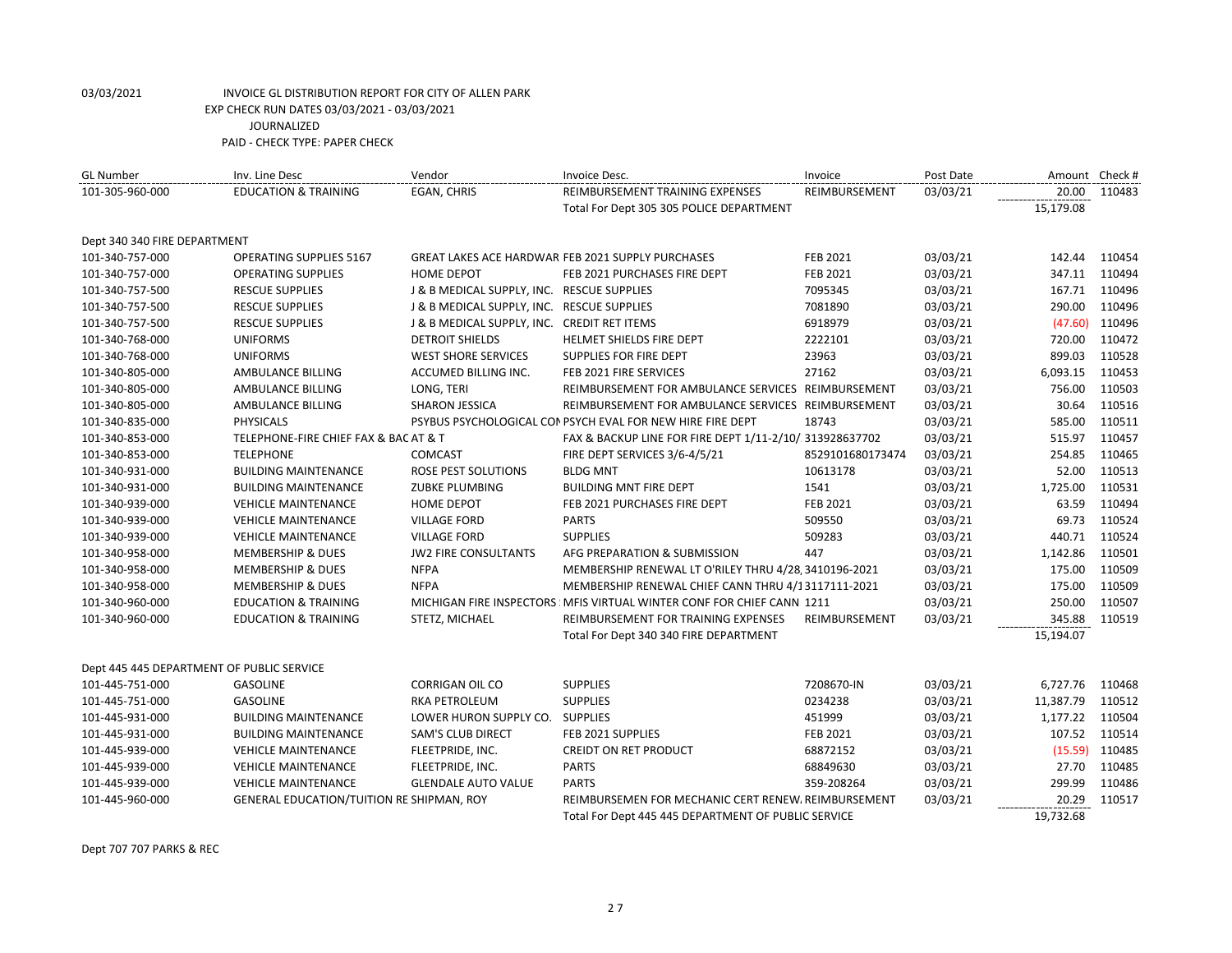| <b>GL Number</b>                          | Inv. Line Desc                            | Vendor                                      | Invoice Desc.                                                         | Invoice          | Post Date | Amount Check # |        |
|-------------------------------------------|-------------------------------------------|---------------------------------------------|-----------------------------------------------------------------------|------------------|-----------|----------------|--------|
| 101-305-960-000                           | <b>EDUCATION &amp; TRAINING</b>           | EGAN, CHRIS                                 | REIMBURSEMENT TRAINING EXPENSES                                       | REIMBURSEMENT    | 03/03/21  | 20.00          | 110483 |
|                                           |                                           |                                             | Total For Dept 305 305 POLICE DEPARTMENT                              |                  |           | 15,179.08      |        |
| Dept 340 340 FIRE DEPARTMENT              |                                           |                                             |                                                                       |                  |           |                |        |
| 101-340-757-000                           | <b>OPERATING SUPPLIES 5167</b>            |                                             | GREAT LAKES ACE HARDWAR FEB 2021 SUPPLY PURCHASES                     | FEB 2021         | 03/03/21  | 142.44         | 110454 |
| 101-340-757-000                           | <b>OPERATING SUPPLIES</b>                 | <b>HOME DEPOT</b>                           | FEB 2021 PURCHASES FIRE DEPT                                          | FEB 2021         | 03/03/21  | 347.11         | 110494 |
| 101-340-757-500                           | <b>RESCUE SUPPLIES</b>                    | J & B MEDICAL SUPPLY, INC. RESCUE SUPPLIES  |                                                                       | 7095345          | 03/03/21  | 167.71         | 110496 |
| 101-340-757-500                           | <b>RESCUE SUPPLIES</b>                    | J & B MEDICAL SUPPLY, INC. RESCUE SUPPLIES  |                                                                       | 7081890          | 03/03/21  | 290.00         | 110496 |
| 101-340-757-500                           | <b>RESCUE SUPPLIES</b>                    | J & B MEDICAL SUPPLY, INC. CREDIT RET ITEMS |                                                                       | 6918979          | 03/03/21  | (47.60)        | 110496 |
| 101-340-768-000                           | <b>UNIFORMS</b>                           | <b>DETROIT SHIELDS</b>                      | HELMET SHIELDS FIRE DEPT                                              | 2222101          | 03/03/21  | 720.00         | 110472 |
| 101-340-768-000                           | <b>UNIFORMS</b>                           | <b>WEST SHORE SERVICES</b>                  | SUPPLIES FOR FIRE DEPT                                                | 23963            | 03/03/21  | 899.03         | 110528 |
| 101-340-805-000                           | AMBULANCE BILLING                         | ACCUMED BILLING INC.                        | FEB 2021 FIRE SERVICES                                                | 27162            | 03/03/21  | 6,093.15       | 110453 |
| 101-340-805-000                           | AMBULANCE BILLING                         | LONG, TERI                                  | REIMBURSEMENT FOR AMBULANCE SERVICES REIMBURSEMENT                    |                  | 03/03/21  | 756.00         | 110503 |
| 101-340-805-000                           | AMBULANCE BILLING                         | <b>SHARON JESSICA</b>                       | REIMBURSEMENT FOR AMBULANCE SERVICES REIMBURSEMENT                    |                  | 03/03/21  | 30.64          | 110516 |
| 101-340-835-000                           | <b>PHYSICALS</b>                          |                                             | PSYBUS PSYCHOLOGICAL CON PSYCH EVAL FOR NEW HIRE FIRE DEPT            | 18743            | 03/03/21  | 585.00         | 110511 |
| 101-340-853-000                           | TELEPHONE-FIRE CHIEF FAX & BAC AT & T     |                                             | FAX & BACKUP LINE FOR FIRE DEPT 1/11-2/10/ 313928637702               |                  | 03/03/21  | 515.97         | 110457 |
| 101-340-853-000                           | <b>TELEPHONE</b>                          | COMCAST                                     | FIRE DEPT SERVICES 3/6-4/5/21                                         | 8529101680173474 | 03/03/21  | 254.85         | 110465 |
| 101-340-931-000                           | <b>BUILDING MAINTENANCE</b>               | ROSE PEST SOLUTIONS                         | <b>BLDG MNT</b>                                                       | 10613178         | 03/03/21  | 52.00          | 110513 |
| 101-340-931-000                           | <b>BUILDING MAINTENANCE</b>               | <b>ZUBKE PLUMBING</b>                       | <b>BUILDING MNT FIRE DEPT</b>                                         | 1541             | 03/03/21  | 1,725.00       | 110531 |
| 101-340-939-000                           | <b>VEHICLE MAINTENANCE</b>                | <b>HOME DEPOT</b>                           | FEB 2021 PURCHASES FIRE DEPT                                          | FEB 2021         | 03/03/21  | 63.59          | 110494 |
| 101-340-939-000                           | <b>VEHICLE MAINTENANCE</b>                | <b>VILLAGE FORD</b>                         | <b>PARTS</b>                                                          | 509550           | 03/03/21  | 69.73          | 110524 |
| 101-340-939-000                           | <b>VEHICLE MAINTENANCE</b>                | <b>VILLAGE FORD</b>                         | <b>SUPPLIES</b>                                                       | 509283           | 03/03/21  | 440.71         | 110524 |
| 101-340-958-000                           | <b>MEMBERSHIP &amp; DUES</b>              | <b>JW2 FIRE CONSULTANTS</b>                 | AFG PREPARATION & SUBMISSION                                          | 447              | 03/03/21  | 1,142.86       | 110501 |
| 101-340-958-000                           | <b>MEMBERSHIP &amp; DUES</b>              | <b>NFPA</b>                                 | MEMBERSHIP RENEWAL LT O'RILEY THRU 4/28, 3410196-2021                 |                  | 03/03/21  | 175.00         | 110509 |
| 101-340-958-000                           | <b>MEMBERSHIP &amp; DUES</b>              | <b>NFPA</b>                                 | MEMBERSHIP RENEWAL CHIEF CANN THRU 4/13117111-2021                    |                  | 03/03/21  | 175.00         | 110509 |
| 101-340-960-000                           | <b>EDUCATION &amp; TRAINING</b>           |                                             | MICHIGAN FIRE INSPECTORS MEIS VIRTUAL WINTER CONF FOR CHIEF CANN 1211 |                  | 03/03/21  | 250.00         | 110507 |
| 101-340-960-000                           | <b>EDUCATION &amp; TRAINING</b>           | STETZ, MICHAEL                              | REIMBURSEMENT FOR TRAINING EXPENSES                                   | REIMBURSEMENT    | 03/03/21  | 345.88         | 110519 |
|                                           |                                           |                                             | Total For Dept 340 340 FIRE DEPARTMENT                                |                  |           | 15,194.07      |        |
| Dept 445 445 DEPARTMENT OF PUBLIC SERVICE |                                           |                                             |                                                                       |                  |           |                |        |
| 101-445-751-000                           | <b>GASOLINE</b>                           | <b>CORRIGAN OIL CO</b>                      | <b>SUPPLIES</b>                                                       | 7208670-IN       | 03/03/21  | 6,727.76       | 110468 |
| 101-445-751-000                           | <b>GASOLINE</b>                           | <b>RKA PETROLEUM</b>                        | <b>SUPPLIES</b>                                                       | 0234238          | 03/03/21  | 11,387.79      | 110512 |
| 101-445-931-000                           | <b>BUILDING MAINTENANCE</b>               | LOWER HURON SUPPLY CO. SUPPLIES             |                                                                       | 451999           | 03/03/21  | 1,177.22       | 110504 |
| 101-445-931-000                           | <b>BUILDING MAINTENANCE</b>               | <b>SAM'S CLUB DIRECT</b>                    | FEB 2021 SUPPLIES                                                     | FEB 2021         | 03/03/21  | 107.52         | 110514 |
| 101-445-939-000                           | <b>VEHICLE MAINTENANCE</b>                | FLEETPRIDE, INC.                            | <b>CREIDT ON RET PRODUCT</b>                                          | 68872152         | 03/03/21  | (15.59)        | 110485 |
| 101-445-939-000                           | <b>VEHICLE MAINTENANCE</b>                | FLEETPRIDE, INC.                            | <b>PARTS</b>                                                          | 68849630         | 03/03/21  | 27.70          | 110485 |
| 101-445-939-000                           | <b>VEHICLE MAINTENANCE</b>                | <b>GLENDALE AUTO VALUE</b>                  | <b>PARTS</b>                                                          | 359-208264       | 03/03/21  | 299.99         | 110486 |
| 101-445-960-000                           | GENERAL EDUCATION/TUITION RE SHIPMAN, ROY |                                             | REIMBURSEMEN FOR MECHANIC CERT RENEW, REIMBURSEMENT                   |                  | 03/03/21  | 20.29          | 110517 |
|                                           |                                           |                                             | Total For Dept 445 445 DEPARTMENT OF PUBLIC SERVICE                   |                  |           | 19,732.68      |        |

Dept 707 707 PARKS & REC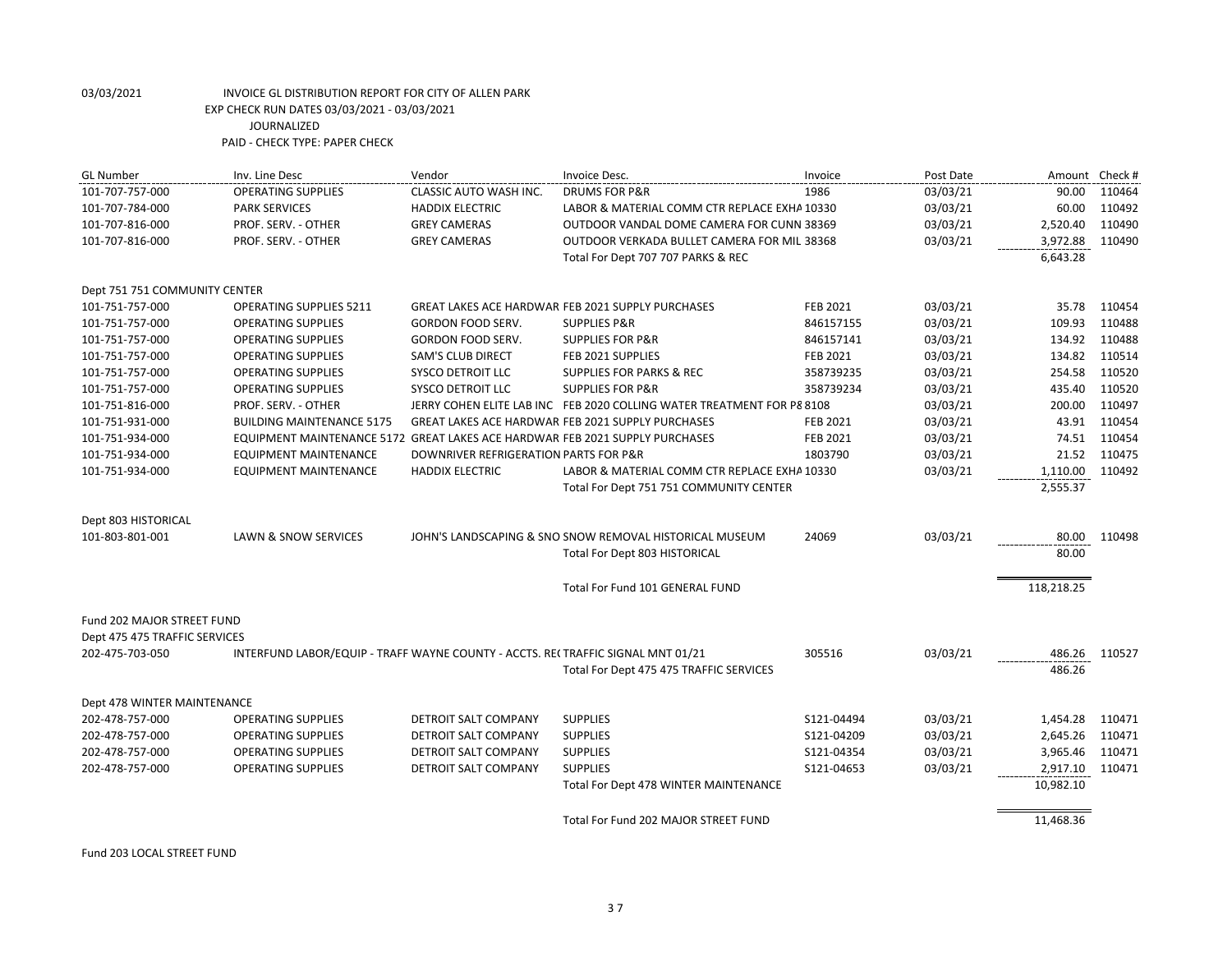| <b>GL Number</b>              | Inv. Line Desc                                                                  | Vendor                                | Invoice Desc.                                                          | Invoice    | Post Date | Amount Check # |        |
|-------------------------------|---------------------------------------------------------------------------------|---------------------------------------|------------------------------------------------------------------------|------------|-----------|----------------|--------|
| 101-707-757-000               | <b>OPERATING SUPPLIES</b>                                                       | <b>CLASSIC AUTO WASH INC.</b>         | <b>DRUMS FOR P&amp;R</b>                                               | 1986       | 03/03/21  | 90.00          | 110464 |
| 101-707-784-000               | <b>PARK SERVICES</b>                                                            | <b>HADDIX ELECTRIC</b>                | LABOR & MATERIAL COMM CTR REPLACE EXHA 10330                           |            | 03/03/21  | 60.00          | 110492 |
| 101-707-816-000               | PROF. SERV. - OTHER                                                             | <b>GREY CAMERAS</b>                   | OUTDOOR VANDAL DOME CAMERA FOR CUNN 38369                              |            | 03/03/21  | 2,520.40       | 110490 |
| 101-707-816-000               | PROF. SERV. - OTHER                                                             | <b>GREY CAMERAS</b>                   | OUTDOOR VERKADA BULLET CAMERA FOR MILI 38368                           |            | 03/03/21  | 3,972.88       | 110490 |
|                               |                                                                                 |                                       | Total For Dept 707 707 PARKS & REC                                     |            |           | 6,643.28       |        |
| Dept 751 751 COMMUNITY CENTER |                                                                                 |                                       |                                                                        |            |           |                |        |
| 101-751-757-000               | <b>OPERATING SUPPLIES 5211</b>                                                  |                                       | GREAT LAKES ACE HARDWAR FEB 2021 SUPPLY PURCHASES                      | FEB 2021   | 03/03/21  | 35.78          | 110454 |
| 101-751-757-000               | <b>OPERATING SUPPLIES</b>                                                       | GORDON FOOD SERV.                     | <b>SUPPLIES P&amp;R</b>                                                | 846157155  | 03/03/21  | 109.93         | 110488 |
| 101-751-757-000               | <b>OPERATING SUPPLIES</b>                                                       | GORDON FOOD SERV.                     | <b>SUPPLIES FOR P&amp;R</b>                                            | 846157141  | 03/03/21  | 134.92         | 110488 |
| 101-751-757-000               | <b>OPERATING SUPPLIES</b>                                                       | <b>SAM'S CLUB DIRECT</b>              | FEB 2021 SUPPLIES                                                      | FEB 2021   | 03/03/21  | 134.82         | 110514 |
| 101-751-757-000               | <b>OPERATING SUPPLIES</b>                                                       | <b>SYSCO DETROIT LLC</b>              | <b>SUPPLIES FOR PARKS &amp; REC</b>                                    | 358739235  | 03/03/21  | 254.58         | 110520 |
| 101-751-757-000               | <b>OPERATING SUPPLIES</b>                                                       | <b>SYSCO DETROIT LLC</b>              | <b>SUPPLIES FOR P&amp;R</b>                                            | 358739234  | 03/03/21  | 435.40         | 110520 |
| 101-751-816-000               | PROF. SERV. - OTHER                                                             |                                       | JERRY COHEN ELITE LAB INC FEB 2020 COLLING WATER TREATMENT FOR P8 8108 |            | 03/03/21  | 200.00         | 110497 |
| 101-751-931-000               | <b>BUILDING MAINTENANCE 5175</b>                                                |                                       | <b>GREAT LAKES ACE HARDWAR FEB 2021 SUPPLY PURCHASES</b>               | FEB 2021   | 03/03/21  | 43.91          | 110454 |
| 101-751-934-000               | EQUIPMENT MAINTENANCE 5172 GREAT LAKES ACE HARDWAR FEB 2021 SUPPLY PURCHASES    |                                       |                                                                        | FEB 2021   | 03/03/21  | 74.51          | 110454 |
| 101-751-934-000               | EQUIPMENT MAINTENANCE                                                           | DOWNRIVER REFRIGERATION PARTS FOR P&R |                                                                        | 1803790    | 03/03/21  | 21.52          | 110475 |
| 101-751-934-000               | <b>EQUIPMENT MAINTENANCE</b>                                                    | <b>HADDIX ELECTRIC</b>                | LABOR & MATERIAL COMM CTR REPLACE EXHA 10330                           |            | 03/03/21  | 1,110.00       | 110492 |
|                               |                                                                                 |                                       | Total For Dept 751 751 COMMUNITY CENTER                                |            |           | 2,555.37       |        |
| Dept 803 HISTORICAL           |                                                                                 |                                       |                                                                        |            |           |                |        |
| 101-803-801-001               | LAWN & SNOW SERVICES                                                            |                                       | JOHN'S LANDSCAPING & SNO SNOW REMOVAL HISTORICAL MUSEUM                | 24069      | 03/03/21  | 80.00          | 110498 |
|                               |                                                                                 |                                       | Total For Dept 803 HISTORICAL                                          |            |           | 80.00          |        |
|                               |                                                                                 |                                       | Total For Fund 101 GENERAL FUND                                        |            |           | 118,218.25     |        |
| Fund 202 MAJOR STREET FUND    |                                                                                 |                                       |                                                                        |            |           |                |        |
| Dept 475 475 TRAFFIC SERVICES |                                                                                 |                                       |                                                                        |            |           |                |        |
| 202-475-703-050               | INTERFUND LABOR/EQUIP - TRAFF WAYNE COUNTY - ACCTS. RECTRAFFIC SIGNAL MNT 01/21 |                                       |                                                                        | 305516     | 03/03/21  | 486.26         | 110527 |
|                               |                                                                                 |                                       | Total For Dept 475 475 TRAFFIC SERVICES                                |            |           | 486.26         |        |
| Dept 478 WINTER MAINTENANCE   |                                                                                 |                                       |                                                                        |            |           |                |        |
| 202-478-757-000               | <b>OPERATING SUPPLIES</b>                                                       | DETROIT SALT COMPANY                  | <b>SUPPLIES</b>                                                        | S121-04494 | 03/03/21  | 1,454.28       | 110471 |
| 202-478-757-000               | <b>OPERATING SUPPLIES</b>                                                       | DETROIT SALT COMPANY                  | <b>SUPPLIES</b>                                                        | S121-04209 | 03/03/21  | 2,645.26       | 110471 |
| 202-478-757-000               | <b>OPERATING SUPPLIES</b>                                                       | <b>DETROIT SALT COMPANY</b>           | <b>SUPPLIES</b>                                                        | S121-04354 | 03/03/21  | 3,965.46       | 110471 |
| 202-478-757-000               | <b>OPERATING SUPPLIES</b>                                                       | DETROIT SALT COMPANY                  | <b>SUPPLIES</b>                                                        | S121-04653 | 03/03/21  | 2,917.10       | 110471 |
|                               |                                                                                 |                                       | Total For Dept 478 WINTER MAINTENANCE                                  |            |           | 10,982.10      |        |
|                               |                                                                                 |                                       | Total For Fund 202 MAJOR STREET FUND                                   |            |           | 11,468.36      |        |

Fund 203 LOCAL STREET FUND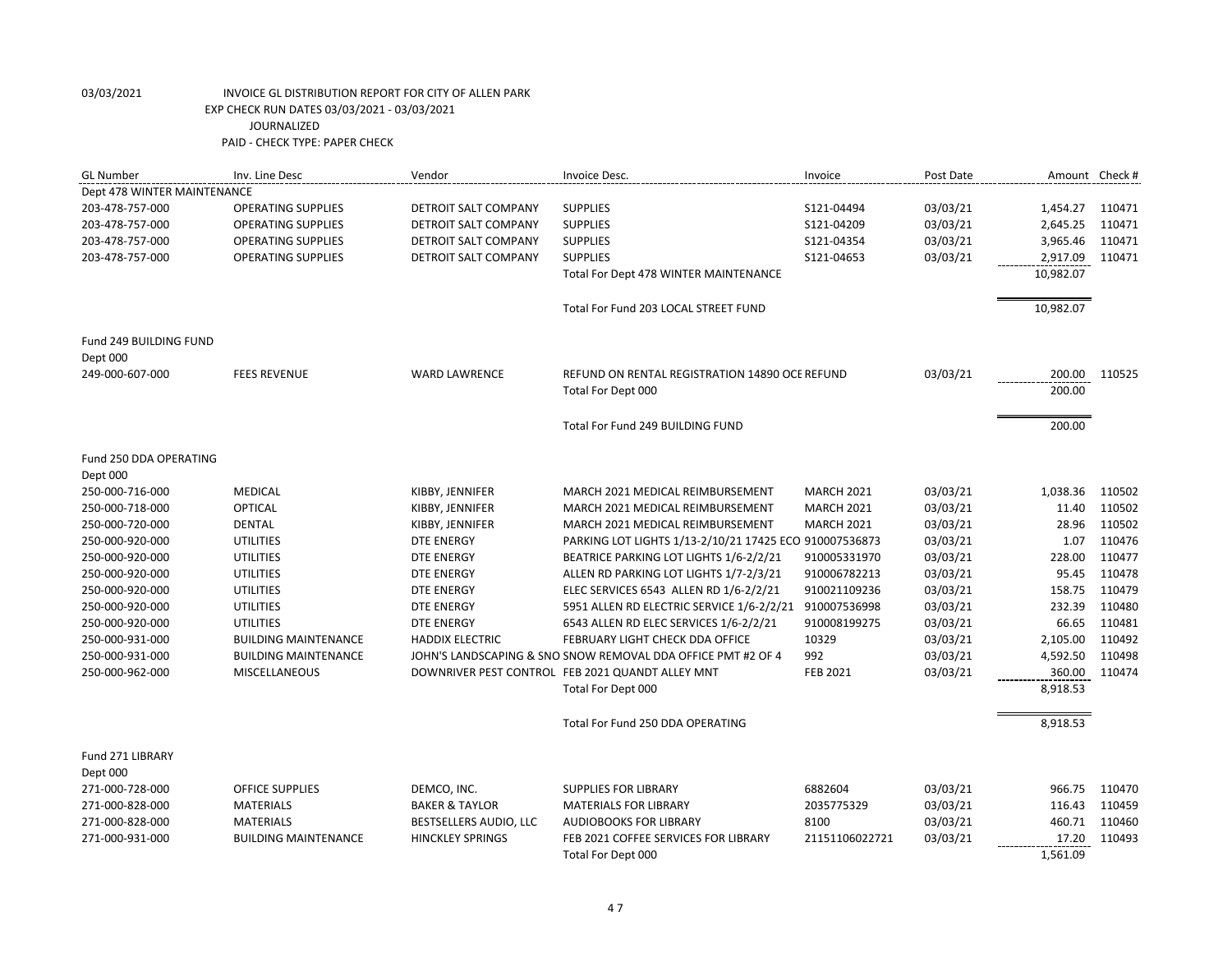| Dept 478 WINTER MAINTENANCE<br><b>SUPPLIES</b><br>203-478-757-000<br><b>OPERATING SUPPLIES</b><br>DETROIT SALT COMPANY<br>S121-04494<br>03/03/21<br>1,454.27<br>110471<br>203-478-757-000<br><b>OPERATING SUPPLIES</b><br>DETROIT SALT COMPANY<br><b>SUPPLIES</b><br>S121-04209<br>03/03/21<br>2,645.25<br>110471<br>03/03/21<br>3,965.46<br>110471<br>203-478-757-000<br><b>OPERATING SUPPLIES</b><br>DETROIT SALT COMPANY<br><b>SUPPLIES</b><br>S121-04354<br>203-478-757-000<br><b>OPERATING SUPPLIES</b><br>DETROIT SALT COMPANY<br><b>SUPPLIES</b><br>S121-04653<br>03/03/21<br>2,917.09<br>110471<br>10,982.07<br>Total For Dept 478 WINTER MAINTENANCE<br>10,982.07<br>Total For Fund 203 LOCAL STREET FUND<br>Fund 249 BUILDING FUND<br>Dept 000<br>03/03/21<br>249-000-607-000<br><b>FEES REVENUE</b><br><b>WARD LAWRENCE</b><br>REFUND ON RENTAL REGISTRATION 14890 OCE REFUND<br>200.00<br>110525<br>200.00<br>Total For Dept 000<br>200.00<br>Total For Fund 249 BUILDING FUND<br>Fund 250 DDA OPERATING<br>Dept 000<br>250-000-716-000<br><b>MEDICAL</b><br>KIBBY, JENNIFER<br>03/03/21<br>1,038.36<br>110502<br>MARCH 2021 MEDICAL REIMBURSEMENT<br><b>MARCH 2021</b><br>OPTICAL<br>250-000-718-000<br>KIBBY, JENNIFER<br>03/03/21<br>11.40<br>110502<br>MARCH 2021 MEDICAL REIMBURSEMENT<br><b>MARCH 2021</b><br><b>DENTAL</b><br>KIBBY, JENNIFER<br><b>MARCH 2021</b><br>03/03/21<br>28.96<br>110502<br>250-000-720-000<br>MARCH 2021 MEDICAL REIMBURSEMENT<br>250-000-920-000<br><b>UTILITIES</b><br><b>DTE ENERGY</b><br>PARKING LOT LIGHTS 1/13-2/10/21 17425 ECOI 910007536873<br>03/03/21<br>1.07<br>110476<br>228.00<br>110477<br>250-000-920-000<br><b>UTILITIES</b><br><b>DTE ENERGY</b><br>BEATRICE PARKING LOT LIGHTS 1/6-2/2/21<br>910005331970<br>03/03/21<br>250-000-920-000<br>ALLEN RD PARKING LOT LIGHTS 1/7-2/3/21<br>910006782213<br>03/03/21<br>95.45<br>110478<br><b>UTILITIES</b><br><b>DTE ENERGY</b><br><b>UTILITIES</b><br>03/03/21<br>158.75<br>110479<br>250-000-920-000<br><b>DTE ENERGY</b><br>ELEC SERVICES 6543 ALLEN RD 1/6-2/2/21<br>910021109236<br>232.39<br>110480<br>250-000-920-000<br><b>UTILITIES</b><br><b>DTE ENERGY</b><br>5951 ALLEN RD ELECTRIC SERVICE 1/6-2/2/21<br>910007536998<br>03/03/21<br><b>UTILITIES</b><br>03/03/21<br>66.65<br>110481<br>250-000-920-000<br><b>DTE ENERGY</b><br>6543 ALLEN RD ELEC SERVICES 1/6-2/2/21<br>910008199275<br>10329<br>03/03/21<br>2,105.00<br>110492<br>250-000-931-000<br><b>BUILDING MAINTENANCE</b><br>FEBRUARY LIGHT CHECK DDA OFFICE<br><b>HADDIX ELECTRIC</b><br>992<br>110498<br>250-000-931-000<br>JOHN'S LANDSCAPING & SNO SNOW REMOVAL DDA OFFICE PMT #2 OF 4<br>03/03/21<br>4,592.50<br><b>BUILDING MAINTENANCE</b><br>DOWNRIVER PEST CONTROL FEB 2021 QUANDT ALLEY MNT<br>FEB 2021<br>03/03/21<br>360.00<br>110474<br>250-000-962-000<br><b>MISCELLANEOUS</b><br>Total For Dept 000<br>8,918.53<br>Total For Fund 250 DDA OPERATING<br>8,918.53<br>Fund 271 LIBRARY<br>Dept 000<br>271-000-728-000<br><b>OFFICE SUPPLIES</b><br>DEMCO, INC.<br><b>SUPPLIES FOR LIBRARY</b><br>6882604<br>03/03/21<br>966.75<br>110470<br>271-000-828-000<br><b>BAKER &amp; TAYLOR</b><br>2035775329<br>03/03/21<br>116.43<br>110459<br><b>MATERIALS</b><br><b>MATERIALS FOR LIBRARY</b><br>271-000-828-000<br><b>MATERIALS</b><br>8100<br>03/03/21<br>460.71<br>110460<br>BESTSELLERS AUDIO, LLC<br><b>AUDIOBOOKS FOR LIBRARY</b><br>271-000-931-000<br><b>BUILDING MAINTENANCE</b><br><b>HINCKLEY SPRINGS</b><br>FEB 2021 COFFEE SERVICES FOR LIBRARY<br>21151106022721<br>03/03/21<br>17.20<br>110493 | <b>GL Number</b> | Inv. Line Desc | Vendor | Invoice Desc.      | Invoice | Post Date | Amount Check # |  |
|-----------------------------------------------------------------------------------------------------------------------------------------------------------------------------------------------------------------------------------------------------------------------------------------------------------------------------------------------------------------------------------------------------------------------------------------------------------------------------------------------------------------------------------------------------------------------------------------------------------------------------------------------------------------------------------------------------------------------------------------------------------------------------------------------------------------------------------------------------------------------------------------------------------------------------------------------------------------------------------------------------------------------------------------------------------------------------------------------------------------------------------------------------------------------------------------------------------------------------------------------------------------------------------------------------------------------------------------------------------------------------------------------------------------------------------------------------------------------------------------------------------------------------------------------------------------------------------------------------------------------------------------------------------------------------------------------------------------------------------------------------------------------------------------------------------------------------------------------------------------------------------------------------------------------------------------------------------------------------------------------------------------------------------------------------------------------------------------------------------------------------------------------------------------------------------------------------------------------------------------------------------------------------------------------------------------------------------------------------------------------------------------------------------------------------------------------------------------------------------------------------------------------------------------------------------------------------------------------------------------------------------------------------------------------------------------------------------------------------------------------------------------------------------------------------------------------------------------------------------------------------------------------------------------------------------------------------------------------------------------------------------------------------------------------------------------------------------------------------------------------------------------------------------------------------------------------------------------------------------------------------------------------------------------------------------------------------------------------------------------------------------------------------------------------------------------------------------------------------------------------------------------------------------------------------------------------------------------------------------|------------------|----------------|--------|--------------------|---------|-----------|----------------|--|
|                                                                                                                                                                                                                                                                                                                                                                                                                                                                                                                                                                                                                                                                                                                                                                                                                                                                                                                                                                                                                                                                                                                                                                                                                                                                                                                                                                                                                                                                                                                                                                                                                                                                                                                                                                                                                                                                                                                                                                                                                                                                                                                                                                                                                                                                                                                                                                                                                                                                                                                                                                                                                                                                                                                                                                                                                                                                                                                                                                                                                                                                                                                                                                                                                                                                                                                                                                                                                                                                                                                                                                                                           |                  |                |        |                    |         |           |                |  |
|                                                                                                                                                                                                                                                                                                                                                                                                                                                                                                                                                                                                                                                                                                                                                                                                                                                                                                                                                                                                                                                                                                                                                                                                                                                                                                                                                                                                                                                                                                                                                                                                                                                                                                                                                                                                                                                                                                                                                                                                                                                                                                                                                                                                                                                                                                                                                                                                                                                                                                                                                                                                                                                                                                                                                                                                                                                                                                                                                                                                                                                                                                                                                                                                                                                                                                                                                                                                                                                                                                                                                                                                           |                  |                |        |                    |         |           |                |  |
|                                                                                                                                                                                                                                                                                                                                                                                                                                                                                                                                                                                                                                                                                                                                                                                                                                                                                                                                                                                                                                                                                                                                                                                                                                                                                                                                                                                                                                                                                                                                                                                                                                                                                                                                                                                                                                                                                                                                                                                                                                                                                                                                                                                                                                                                                                                                                                                                                                                                                                                                                                                                                                                                                                                                                                                                                                                                                                                                                                                                                                                                                                                                                                                                                                                                                                                                                                                                                                                                                                                                                                                                           |                  |                |        |                    |         |           |                |  |
|                                                                                                                                                                                                                                                                                                                                                                                                                                                                                                                                                                                                                                                                                                                                                                                                                                                                                                                                                                                                                                                                                                                                                                                                                                                                                                                                                                                                                                                                                                                                                                                                                                                                                                                                                                                                                                                                                                                                                                                                                                                                                                                                                                                                                                                                                                                                                                                                                                                                                                                                                                                                                                                                                                                                                                                                                                                                                                                                                                                                                                                                                                                                                                                                                                                                                                                                                                                                                                                                                                                                                                                                           |                  |                |        |                    |         |           |                |  |
|                                                                                                                                                                                                                                                                                                                                                                                                                                                                                                                                                                                                                                                                                                                                                                                                                                                                                                                                                                                                                                                                                                                                                                                                                                                                                                                                                                                                                                                                                                                                                                                                                                                                                                                                                                                                                                                                                                                                                                                                                                                                                                                                                                                                                                                                                                                                                                                                                                                                                                                                                                                                                                                                                                                                                                                                                                                                                                                                                                                                                                                                                                                                                                                                                                                                                                                                                                                                                                                                                                                                                                                                           |                  |                |        |                    |         |           |                |  |
|                                                                                                                                                                                                                                                                                                                                                                                                                                                                                                                                                                                                                                                                                                                                                                                                                                                                                                                                                                                                                                                                                                                                                                                                                                                                                                                                                                                                                                                                                                                                                                                                                                                                                                                                                                                                                                                                                                                                                                                                                                                                                                                                                                                                                                                                                                                                                                                                                                                                                                                                                                                                                                                                                                                                                                                                                                                                                                                                                                                                                                                                                                                                                                                                                                                                                                                                                                                                                                                                                                                                                                                                           |                  |                |        |                    |         |           |                |  |
|                                                                                                                                                                                                                                                                                                                                                                                                                                                                                                                                                                                                                                                                                                                                                                                                                                                                                                                                                                                                                                                                                                                                                                                                                                                                                                                                                                                                                                                                                                                                                                                                                                                                                                                                                                                                                                                                                                                                                                                                                                                                                                                                                                                                                                                                                                                                                                                                                                                                                                                                                                                                                                                                                                                                                                                                                                                                                                                                                                                                                                                                                                                                                                                                                                                                                                                                                                                                                                                                                                                                                                                                           |                  |                |        |                    |         |           |                |  |
|                                                                                                                                                                                                                                                                                                                                                                                                                                                                                                                                                                                                                                                                                                                                                                                                                                                                                                                                                                                                                                                                                                                                                                                                                                                                                                                                                                                                                                                                                                                                                                                                                                                                                                                                                                                                                                                                                                                                                                                                                                                                                                                                                                                                                                                                                                                                                                                                                                                                                                                                                                                                                                                                                                                                                                                                                                                                                                                                                                                                                                                                                                                                                                                                                                                                                                                                                                                                                                                                                                                                                                                                           |                  |                |        |                    |         |           |                |  |
|                                                                                                                                                                                                                                                                                                                                                                                                                                                                                                                                                                                                                                                                                                                                                                                                                                                                                                                                                                                                                                                                                                                                                                                                                                                                                                                                                                                                                                                                                                                                                                                                                                                                                                                                                                                                                                                                                                                                                                                                                                                                                                                                                                                                                                                                                                                                                                                                                                                                                                                                                                                                                                                                                                                                                                                                                                                                                                                                                                                                                                                                                                                                                                                                                                                                                                                                                                                                                                                                                                                                                                                                           |                  |                |        |                    |         |           |                |  |
|                                                                                                                                                                                                                                                                                                                                                                                                                                                                                                                                                                                                                                                                                                                                                                                                                                                                                                                                                                                                                                                                                                                                                                                                                                                                                                                                                                                                                                                                                                                                                                                                                                                                                                                                                                                                                                                                                                                                                                                                                                                                                                                                                                                                                                                                                                                                                                                                                                                                                                                                                                                                                                                                                                                                                                                                                                                                                                                                                                                                                                                                                                                                                                                                                                                                                                                                                                                                                                                                                                                                                                                                           |                  |                |        |                    |         |           |                |  |
|                                                                                                                                                                                                                                                                                                                                                                                                                                                                                                                                                                                                                                                                                                                                                                                                                                                                                                                                                                                                                                                                                                                                                                                                                                                                                                                                                                                                                                                                                                                                                                                                                                                                                                                                                                                                                                                                                                                                                                                                                                                                                                                                                                                                                                                                                                                                                                                                                                                                                                                                                                                                                                                                                                                                                                                                                                                                                                                                                                                                                                                                                                                                                                                                                                                                                                                                                                                                                                                                                                                                                                                                           |                  |                |        |                    |         |           |                |  |
|                                                                                                                                                                                                                                                                                                                                                                                                                                                                                                                                                                                                                                                                                                                                                                                                                                                                                                                                                                                                                                                                                                                                                                                                                                                                                                                                                                                                                                                                                                                                                                                                                                                                                                                                                                                                                                                                                                                                                                                                                                                                                                                                                                                                                                                                                                                                                                                                                                                                                                                                                                                                                                                                                                                                                                                                                                                                                                                                                                                                                                                                                                                                                                                                                                                                                                                                                                                                                                                                                                                                                                                                           |                  |                |        |                    |         |           |                |  |
|                                                                                                                                                                                                                                                                                                                                                                                                                                                                                                                                                                                                                                                                                                                                                                                                                                                                                                                                                                                                                                                                                                                                                                                                                                                                                                                                                                                                                                                                                                                                                                                                                                                                                                                                                                                                                                                                                                                                                                                                                                                                                                                                                                                                                                                                                                                                                                                                                                                                                                                                                                                                                                                                                                                                                                                                                                                                                                                                                                                                                                                                                                                                                                                                                                                                                                                                                                                                                                                                                                                                                                                                           |                  |                |        |                    |         |           |                |  |
|                                                                                                                                                                                                                                                                                                                                                                                                                                                                                                                                                                                                                                                                                                                                                                                                                                                                                                                                                                                                                                                                                                                                                                                                                                                                                                                                                                                                                                                                                                                                                                                                                                                                                                                                                                                                                                                                                                                                                                                                                                                                                                                                                                                                                                                                                                                                                                                                                                                                                                                                                                                                                                                                                                                                                                                                                                                                                                                                                                                                                                                                                                                                                                                                                                                                                                                                                                                                                                                                                                                                                                                                           |                  |                |        |                    |         |           |                |  |
|                                                                                                                                                                                                                                                                                                                                                                                                                                                                                                                                                                                                                                                                                                                                                                                                                                                                                                                                                                                                                                                                                                                                                                                                                                                                                                                                                                                                                                                                                                                                                                                                                                                                                                                                                                                                                                                                                                                                                                                                                                                                                                                                                                                                                                                                                                                                                                                                                                                                                                                                                                                                                                                                                                                                                                                                                                                                                                                                                                                                                                                                                                                                                                                                                                                                                                                                                                                                                                                                                                                                                                                                           |                  |                |        |                    |         |           |                |  |
|                                                                                                                                                                                                                                                                                                                                                                                                                                                                                                                                                                                                                                                                                                                                                                                                                                                                                                                                                                                                                                                                                                                                                                                                                                                                                                                                                                                                                                                                                                                                                                                                                                                                                                                                                                                                                                                                                                                                                                                                                                                                                                                                                                                                                                                                                                                                                                                                                                                                                                                                                                                                                                                                                                                                                                                                                                                                                                                                                                                                                                                                                                                                                                                                                                                                                                                                                                                                                                                                                                                                                                                                           |                  |                |        |                    |         |           |                |  |
|                                                                                                                                                                                                                                                                                                                                                                                                                                                                                                                                                                                                                                                                                                                                                                                                                                                                                                                                                                                                                                                                                                                                                                                                                                                                                                                                                                                                                                                                                                                                                                                                                                                                                                                                                                                                                                                                                                                                                                                                                                                                                                                                                                                                                                                                                                                                                                                                                                                                                                                                                                                                                                                                                                                                                                                                                                                                                                                                                                                                                                                                                                                                                                                                                                                                                                                                                                                                                                                                                                                                                                                                           |                  |                |        |                    |         |           |                |  |
|                                                                                                                                                                                                                                                                                                                                                                                                                                                                                                                                                                                                                                                                                                                                                                                                                                                                                                                                                                                                                                                                                                                                                                                                                                                                                                                                                                                                                                                                                                                                                                                                                                                                                                                                                                                                                                                                                                                                                                                                                                                                                                                                                                                                                                                                                                                                                                                                                                                                                                                                                                                                                                                                                                                                                                                                                                                                                                                                                                                                                                                                                                                                                                                                                                                                                                                                                                                                                                                                                                                                                                                                           |                  |                |        |                    |         |           |                |  |
|                                                                                                                                                                                                                                                                                                                                                                                                                                                                                                                                                                                                                                                                                                                                                                                                                                                                                                                                                                                                                                                                                                                                                                                                                                                                                                                                                                                                                                                                                                                                                                                                                                                                                                                                                                                                                                                                                                                                                                                                                                                                                                                                                                                                                                                                                                                                                                                                                                                                                                                                                                                                                                                                                                                                                                                                                                                                                                                                                                                                                                                                                                                                                                                                                                                                                                                                                                                                                                                                                                                                                                                                           |                  |                |        |                    |         |           |                |  |
|                                                                                                                                                                                                                                                                                                                                                                                                                                                                                                                                                                                                                                                                                                                                                                                                                                                                                                                                                                                                                                                                                                                                                                                                                                                                                                                                                                                                                                                                                                                                                                                                                                                                                                                                                                                                                                                                                                                                                                                                                                                                                                                                                                                                                                                                                                                                                                                                                                                                                                                                                                                                                                                                                                                                                                                                                                                                                                                                                                                                                                                                                                                                                                                                                                                                                                                                                                                                                                                                                                                                                                                                           |                  |                |        |                    |         |           |                |  |
|                                                                                                                                                                                                                                                                                                                                                                                                                                                                                                                                                                                                                                                                                                                                                                                                                                                                                                                                                                                                                                                                                                                                                                                                                                                                                                                                                                                                                                                                                                                                                                                                                                                                                                                                                                                                                                                                                                                                                                                                                                                                                                                                                                                                                                                                                                                                                                                                                                                                                                                                                                                                                                                                                                                                                                                                                                                                                                                                                                                                                                                                                                                                                                                                                                                                                                                                                                                                                                                                                                                                                                                                           |                  |                |        |                    |         |           |                |  |
|                                                                                                                                                                                                                                                                                                                                                                                                                                                                                                                                                                                                                                                                                                                                                                                                                                                                                                                                                                                                                                                                                                                                                                                                                                                                                                                                                                                                                                                                                                                                                                                                                                                                                                                                                                                                                                                                                                                                                                                                                                                                                                                                                                                                                                                                                                                                                                                                                                                                                                                                                                                                                                                                                                                                                                                                                                                                                                                                                                                                                                                                                                                                                                                                                                                                                                                                                                                                                                                                                                                                                                                                           |                  |                |        |                    |         |           |                |  |
|                                                                                                                                                                                                                                                                                                                                                                                                                                                                                                                                                                                                                                                                                                                                                                                                                                                                                                                                                                                                                                                                                                                                                                                                                                                                                                                                                                                                                                                                                                                                                                                                                                                                                                                                                                                                                                                                                                                                                                                                                                                                                                                                                                                                                                                                                                                                                                                                                                                                                                                                                                                                                                                                                                                                                                                                                                                                                                                                                                                                                                                                                                                                                                                                                                                                                                                                                                                                                                                                                                                                                                                                           |                  |                |        |                    |         |           |                |  |
|                                                                                                                                                                                                                                                                                                                                                                                                                                                                                                                                                                                                                                                                                                                                                                                                                                                                                                                                                                                                                                                                                                                                                                                                                                                                                                                                                                                                                                                                                                                                                                                                                                                                                                                                                                                                                                                                                                                                                                                                                                                                                                                                                                                                                                                                                                                                                                                                                                                                                                                                                                                                                                                                                                                                                                                                                                                                                                                                                                                                                                                                                                                                                                                                                                                                                                                                                                                                                                                                                                                                                                                                           |                  |                |        |                    |         |           |                |  |
|                                                                                                                                                                                                                                                                                                                                                                                                                                                                                                                                                                                                                                                                                                                                                                                                                                                                                                                                                                                                                                                                                                                                                                                                                                                                                                                                                                                                                                                                                                                                                                                                                                                                                                                                                                                                                                                                                                                                                                                                                                                                                                                                                                                                                                                                                                                                                                                                                                                                                                                                                                                                                                                                                                                                                                                                                                                                                                                                                                                                                                                                                                                                                                                                                                                                                                                                                                                                                                                                                                                                                                                                           |                  |                |        |                    |         |           |                |  |
|                                                                                                                                                                                                                                                                                                                                                                                                                                                                                                                                                                                                                                                                                                                                                                                                                                                                                                                                                                                                                                                                                                                                                                                                                                                                                                                                                                                                                                                                                                                                                                                                                                                                                                                                                                                                                                                                                                                                                                                                                                                                                                                                                                                                                                                                                                                                                                                                                                                                                                                                                                                                                                                                                                                                                                                                                                                                                                                                                                                                                                                                                                                                                                                                                                                                                                                                                                                                                                                                                                                                                                                                           |                  |                |        |                    |         |           |                |  |
|                                                                                                                                                                                                                                                                                                                                                                                                                                                                                                                                                                                                                                                                                                                                                                                                                                                                                                                                                                                                                                                                                                                                                                                                                                                                                                                                                                                                                                                                                                                                                                                                                                                                                                                                                                                                                                                                                                                                                                                                                                                                                                                                                                                                                                                                                                                                                                                                                                                                                                                                                                                                                                                                                                                                                                                                                                                                                                                                                                                                                                                                                                                                                                                                                                                                                                                                                                                                                                                                                                                                                                                                           |                  |                |        |                    |         |           |                |  |
|                                                                                                                                                                                                                                                                                                                                                                                                                                                                                                                                                                                                                                                                                                                                                                                                                                                                                                                                                                                                                                                                                                                                                                                                                                                                                                                                                                                                                                                                                                                                                                                                                                                                                                                                                                                                                                                                                                                                                                                                                                                                                                                                                                                                                                                                                                                                                                                                                                                                                                                                                                                                                                                                                                                                                                                                                                                                                                                                                                                                                                                                                                                                                                                                                                                                                                                                                                                                                                                                                                                                                                                                           |                  |                |        |                    |         |           |                |  |
|                                                                                                                                                                                                                                                                                                                                                                                                                                                                                                                                                                                                                                                                                                                                                                                                                                                                                                                                                                                                                                                                                                                                                                                                                                                                                                                                                                                                                                                                                                                                                                                                                                                                                                                                                                                                                                                                                                                                                                                                                                                                                                                                                                                                                                                                                                                                                                                                                                                                                                                                                                                                                                                                                                                                                                                                                                                                                                                                                                                                                                                                                                                                                                                                                                                                                                                                                                                                                                                                                                                                                                                                           |                  |                |        |                    |         |           |                |  |
|                                                                                                                                                                                                                                                                                                                                                                                                                                                                                                                                                                                                                                                                                                                                                                                                                                                                                                                                                                                                                                                                                                                                                                                                                                                                                                                                                                                                                                                                                                                                                                                                                                                                                                                                                                                                                                                                                                                                                                                                                                                                                                                                                                                                                                                                                                                                                                                                                                                                                                                                                                                                                                                                                                                                                                                                                                                                                                                                                                                                                                                                                                                                                                                                                                                                                                                                                                                                                                                                                                                                                                                                           |                  |                |        |                    |         |           |                |  |
|                                                                                                                                                                                                                                                                                                                                                                                                                                                                                                                                                                                                                                                                                                                                                                                                                                                                                                                                                                                                                                                                                                                                                                                                                                                                                                                                                                                                                                                                                                                                                                                                                                                                                                                                                                                                                                                                                                                                                                                                                                                                                                                                                                                                                                                                                                                                                                                                                                                                                                                                                                                                                                                                                                                                                                                                                                                                                                                                                                                                                                                                                                                                                                                                                                                                                                                                                                                                                                                                                                                                                                                                           |                  |                |        |                    |         |           |                |  |
|                                                                                                                                                                                                                                                                                                                                                                                                                                                                                                                                                                                                                                                                                                                                                                                                                                                                                                                                                                                                                                                                                                                                                                                                                                                                                                                                                                                                                                                                                                                                                                                                                                                                                                                                                                                                                                                                                                                                                                                                                                                                                                                                                                                                                                                                                                                                                                                                                                                                                                                                                                                                                                                                                                                                                                                                                                                                                                                                                                                                                                                                                                                                                                                                                                                                                                                                                                                                                                                                                                                                                                                                           |                  |                |        |                    |         |           |                |  |
|                                                                                                                                                                                                                                                                                                                                                                                                                                                                                                                                                                                                                                                                                                                                                                                                                                                                                                                                                                                                                                                                                                                                                                                                                                                                                                                                                                                                                                                                                                                                                                                                                                                                                                                                                                                                                                                                                                                                                                                                                                                                                                                                                                                                                                                                                                                                                                                                                                                                                                                                                                                                                                                                                                                                                                                                                                                                                                                                                                                                                                                                                                                                                                                                                                                                                                                                                                                                                                                                                                                                                                                                           |                  |                |        | Total For Dept 000 |         |           | 1,561.09       |  |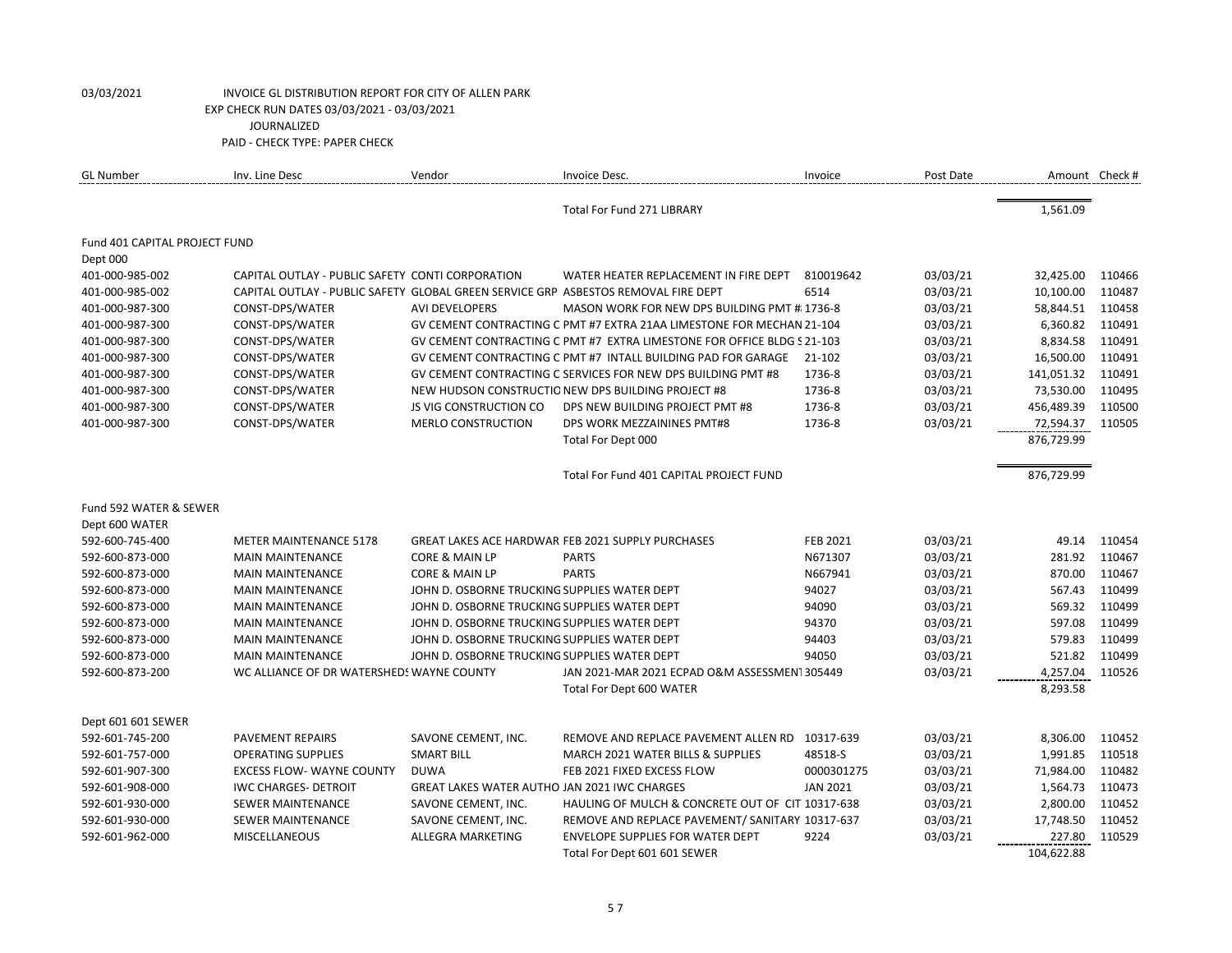| <b>GL Number</b>              | Inv. Line Desc                                                                     | Vendor                                              | Invoice Desc.                                                           | Invoice         | Post Date | Amount Check # |        |
|-------------------------------|------------------------------------------------------------------------------------|-----------------------------------------------------|-------------------------------------------------------------------------|-----------------|-----------|----------------|--------|
|                               |                                                                                    |                                                     | <b>Total For Fund 271 LIBRARY</b>                                       |                 |           | 1,561.09       |        |
| Fund 401 CAPITAL PROJECT FUND |                                                                                    |                                                     |                                                                         |                 |           |                |        |
| Dept 000                      |                                                                                    |                                                     |                                                                         |                 |           |                |        |
| 401-000-985-002               | CAPITAL OUTLAY - PUBLIC SAFETY CONTI CORPORATION                                   |                                                     | WATER HEATER REPLACEMENT IN FIRE DEPT                                   | 810019642       | 03/03/21  | 32,425.00      | 110466 |
| 401-000-985-002               | CAPITAL OUTLAY - PUBLIC SAFETY GLOBAL GREEN SERVICE GRP ASBESTOS REMOVAL FIRE DEPT |                                                     |                                                                         | 6514            | 03/03/21  | 10,100.00      | 110487 |
| 401-000-987-300               | CONST-DPS/WATER                                                                    | <b>AVI DEVELOPERS</b>                               | MASON WORK FOR NEW DPS BUILDING PMT #: 1736-8                           |                 | 03/03/21  | 58,844.51      | 110458 |
| 401-000-987-300               | CONST-DPS/WATER                                                                    |                                                     | GV CEMENT CONTRACTING C PMT #7 EXTRA 21AA LIMESTONE FOR MECHAN 21-104   |                 | 03/03/21  | 6,360.82       | 110491 |
| 401-000-987-300               | CONST-DPS/WATER                                                                    |                                                     | GV CEMENT CONTRACTING C PMT #7 EXTRA LIMESTONE FOR OFFICE BLDG S 21-103 |                 | 03/03/21  | 8,834.58       | 110491 |
| 401-000-987-300               | CONST-DPS/WATER                                                                    |                                                     | GV CEMENT CONTRACTING C PMT #7 INTALL BUILDING PAD FOR GARAGE           | 21-102          | 03/03/21  | 16,500.00      | 110491 |
| 401-000-987-300               | CONST-DPS/WATER                                                                    |                                                     | GV CEMENT CONTRACTING C SERVICES FOR NEW DPS BUILDING PMT #8            | 1736-8          | 03/03/21  | 141,051.32     | 110491 |
| 401-000-987-300               | CONST-DPS/WATER                                                                    |                                                     | NEW HUDSON CONSTRUCTIO NEW DPS BUILDING PROJECT #8                      | 1736-8          | 03/03/21  | 73,530.00      | 110495 |
| 401-000-987-300               | CONST-DPS/WATER                                                                    | JS VIG CONSTRUCTION CO                              | DPS NEW BUILDING PROJECT PMT #8                                         | 1736-8          | 03/03/21  | 456,489.39     | 110500 |
| 401-000-987-300               | CONST-DPS/WATER                                                                    | <b>MERLO CONSTRUCTION</b>                           | DPS WORK MEZZAININES PMT#8                                              | 1736-8          | 03/03/21  | 72,594.37      | 110505 |
|                               |                                                                                    |                                                     | Total For Dept 000                                                      |                 |           | 876,729.99     |        |
|                               |                                                                                    |                                                     | Total For Fund 401 CAPITAL PROJECT FUND                                 |                 |           | 876,729.99     |        |
| Fund 592 WATER & SEWER        |                                                                                    |                                                     |                                                                         |                 |           |                |        |
| Dept 600 WATER                |                                                                                    |                                                     |                                                                         |                 |           |                |        |
| 592-600-745-400               | <b>METER MAINTENANCE 5178</b>                                                      |                                                     | GREAT LAKES ACE HARDWAR FEB 2021 SUPPLY PURCHASES                       | <b>FEB 2021</b> | 03/03/21  | 49.14          | 110454 |
| 592-600-873-000               | <b>MAIN MAINTENANCE</b>                                                            | CORE & MAIN LP                                      | <b>PARTS</b>                                                            | N671307         | 03/03/21  | 281.92         | 110467 |
| 592-600-873-000               | <b>MAIN MAINTENANCE</b>                                                            | CORE & MAIN LP                                      | <b>PARTS</b>                                                            | N667941         | 03/03/21  | 870.00         | 110467 |
| 592-600-873-000               | <b>MAIN MAINTENANCE</b>                                                            | JOHN D. OSBORNE TRUCKING SUPPLIES WATER DEPT        |                                                                         | 94027           | 03/03/21  | 567.43         | 110499 |
| 592-600-873-000               | <b>MAIN MAINTENANCE</b>                                                            | JOHN D. OSBORNE TRUCKING SUPPLIES WATER DEPT        |                                                                         | 94090           | 03/03/21  | 569.32         | 110499 |
| 592-600-873-000               | <b>MAIN MAINTENANCE</b>                                                            | JOHN D. OSBORNE TRUCKING SUPPLIES WATER DEPT        |                                                                         | 94370           | 03/03/21  | 597.08         | 110499 |
| 592-600-873-000               | <b>MAIN MAINTENANCE</b>                                                            | JOHN D. OSBORNE TRUCKING SUPPLIES WATER DEPT        |                                                                         | 94403           | 03/03/21  | 579.83         | 110499 |
| 592-600-873-000               | <b>MAIN MAINTENANCE</b>                                                            | JOHN D. OSBORNE TRUCKING SUPPLIES WATER DEPT        |                                                                         | 94050           | 03/03/21  | 521.82         | 110499 |
| 592-600-873-200               | WC ALLIANCE OF DR WATERSHEDS WAYNE COUNTY                                          |                                                     | JAN 2021-MAR 2021 ECPAD O&M ASSESSMEN1305449                            |                 | 03/03/21  | 4,257.04       | 110526 |
|                               |                                                                                    |                                                     | Total For Dept 600 WATER                                                |                 |           | 8,293.58       |        |
| Dept 601 601 SEWER            |                                                                                    |                                                     |                                                                         |                 |           |                |        |
| 592-601-745-200               | PAVEMENT REPAIRS                                                                   | SAVONE CEMENT, INC.                                 | REMOVE AND REPLACE PAVEMENT ALLEN RD                                    | 10317-639       | 03/03/21  | 8,306.00       | 110452 |
| 592-601-757-000               | <b>OPERATING SUPPLIES</b>                                                          | <b>SMART BILL</b>                                   | MARCH 2021 WATER BILLS & SUPPLIES                                       | 48518-S         | 03/03/21  | 1,991.85       | 110518 |
| 592-601-907-300               | <b>EXCESS FLOW- WAYNE COUNTY</b>                                                   | <b>DUWA</b>                                         | FEB 2021 FIXED EXCESS FLOW                                              | 0000301275      | 03/03/21  | 71,984.00      | 110482 |
| 592-601-908-000               | <b>IWC CHARGES- DETROIT</b>                                                        | <b>GREAT LAKES WATER AUTHO JAN 2021 IWC CHARGES</b> |                                                                         | <b>JAN 2021</b> | 03/03/21  | 1,564.73       | 110473 |
| 592-601-930-000               | <b>SEWER MAINTENANCE</b>                                                           | SAVONE CEMENT, INC.                                 | HAULING OF MULCH & CONCRETE OUT OF CIT 10317-638                        |                 | 03/03/21  | 2,800.00       | 110452 |
| 592-601-930-000               | <b>SEWER MAINTENANCE</b>                                                           | SAVONE CEMENT, INC.                                 | REMOVE AND REPLACE PAVEMENT/ SANITARY 10317-637                         |                 | 03/03/21  | 17,748.50      | 110452 |
| 592-601-962-000               | <b>MISCELLANEOUS</b>                                                               | ALLEGRA MARKETING                                   | ENVELOPE SUPPLIES FOR WATER DEPT                                        | 9224            | 03/03/21  | 227.80         | 110529 |
|                               |                                                                                    |                                                     | Total For Dept 601 601 SEWER                                            |                 |           | 104,622.88     |        |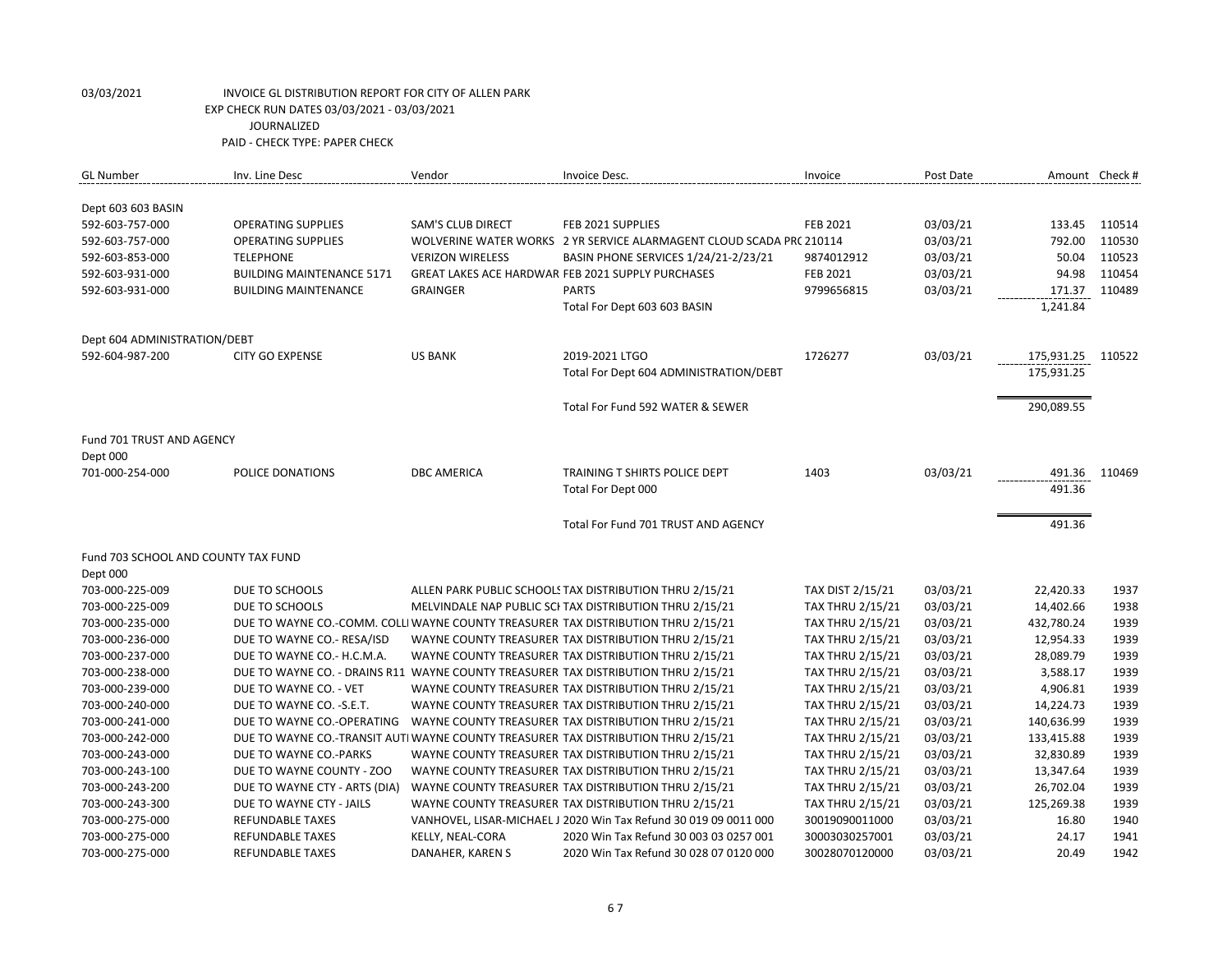| <b>GL Number</b>                    | Inv. Line Desc                   | Vendor                   | Invoice Desc.                                                                      | Invoice                 | Post Date | Amount Check # |        |
|-------------------------------------|----------------------------------|--------------------------|------------------------------------------------------------------------------------|-------------------------|-----------|----------------|--------|
| Dept 603 603 BASIN                  |                                  |                          |                                                                                    |                         |           |                |        |
| 592-603-757-000                     | <b>OPERATING SUPPLIES</b>        | <b>SAM'S CLUB DIRECT</b> | FEB 2021 SUPPLIES                                                                  | FEB 2021                | 03/03/21  | 133.45         | 110514 |
| 592-603-757-000                     | <b>OPERATING SUPPLIES</b>        |                          | WOLVERINE WATER WORKS 2 YR SERVICE ALARMAGENT CLOUD SCADA PRC 210114               |                         | 03/03/21  | 792.00         | 110530 |
| 592-603-853-000                     | <b>TELEPHONE</b>                 | <b>VERIZON WIRELESS</b>  | BASIN PHONE SERVICES 1/24/21-2/23/21                                               | 9874012912              | 03/03/21  | 50.04          | 110523 |
| 592-603-931-000                     | <b>BUILDING MAINTENANCE 5171</b> |                          | GREAT LAKES ACE HARDWAR FEB 2021 SUPPLY PURCHASES                                  | <b>FEB 2021</b>         | 03/03/21  | 94.98          | 110454 |
| 592-603-931-000                     | <b>BUILDING MAINTENANCE</b>      | <b>GRAINGER</b>          | <b>PARTS</b>                                                                       | 9799656815              | 03/03/21  | 171.37         | 110489 |
|                                     |                                  |                          | Total For Dept 603 603 BASIN                                                       |                         |           | 1,241.84       |        |
|                                     |                                  |                          |                                                                                    |                         |           |                |        |
| Dept 604 ADMINISTRATION/DEBT        |                                  |                          |                                                                                    |                         |           |                |        |
| 592-604-987-200                     | <b>CITY GO EXPENSE</b>           | <b>US BANK</b>           | 2019-2021 LTGO                                                                     | 1726277                 | 03/03/21  | 175,931.25     | 110522 |
|                                     |                                  |                          | Total For Dept 604 ADMINISTRATION/DEBT                                             |                         |           | 175,931.25     |        |
|                                     |                                  |                          | Total For Fund 592 WATER & SEWER                                                   |                         |           | 290,089.55     |        |
| Fund 701 TRUST AND AGENCY           |                                  |                          |                                                                                    |                         |           |                |        |
| Dept 000                            |                                  |                          |                                                                                    |                         |           |                |        |
| 701-000-254-000                     | POLICE DONATIONS                 | <b>DBC AMERICA</b>       | TRAINING T SHIRTS POLICE DEPT                                                      | 1403                    | 03/03/21  | 491.36         | 110469 |
|                                     |                                  |                          | Total For Dept 000                                                                 |                         |           | 491.36         |        |
|                                     |                                  |                          | Total For Fund 701 TRUST AND AGENCY                                                |                         |           | 491.36         |        |
| Fund 703 SCHOOL AND COUNTY TAX FUND |                                  |                          |                                                                                    |                         |           |                |        |
| Dept 000                            |                                  |                          |                                                                                    |                         |           |                |        |
| 703-000-225-009                     | DUE TO SCHOOLS                   |                          | ALLEN PARK PUBLIC SCHOOLS TAX DISTRIBUTION THRU 2/15/21                            | TAX DIST 2/15/21        | 03/03/21  | 22,420.33      | 1937   |
| 703-000-225-009                     | DUE TO SCHOOLS                   |                          | MELVINDALE NAP PUBLIC SCI TAX DISTRIBUTION THRU 2/15/21                            | <b>TAX THRU 2/15/21</b> | 03/03/21  | 14,402.66      | 1938   |
| 703-000-235-000                     |                                  |                          | DUE TO WAYNE CO.-COMM. COLLI WAYNE COUNTY TREASURER TAX DISTRIBUTION THRU 2/15/21  | <b>TAX THRU 2/15/21</b> | 03/03/21  | 432,780.24     | 1939   |
| 703-000-236-000                     | DUE TO WAYNE CO.- RESA/ISD       |                          | WAYNE COUNTY TREASURER TAX DISTRIBUTION THRU 2/15/21                               | <b>TAX THRU 2/15/21</b> | 03/03/21  | 12,954.33      | 1939   |
| 703-000-237-000                     | DUE TO WAYNE CO.- H.C.M.A.       |                          | WAYNE COUNTY TREASURER TAX DISTRIBUTION THRU 2/15/21                               | <b>TAX THRU 2/15/21</b> | 03/03/21  | 28,089.79      | 1939   |
| 703-000-238-000                     |                                  |                          | DUE TO WAYNE CO. - DRAINS R11 WAYNE COUNTY TREASURER TAX DISTRIBUTION THRU 2/15/21 | <b>TAX THRU 2/15/21</b> | 03/03/21  | 3,588.17       | 1939   |
| 703-000-239-000                     | DUE TO WAYNE CO. - VET           |                          | WAYNE COUNTY TREASURER TAX DISTRIBUTION THRU 2/15/21                               | <b>TAX THRU 2/15/21</b> | 03/03/21  | 4,906.81       | 1939   |
| 703-000-240-000                     | DUE TO WAYNE CO. - S.E.T.        |                          | WAYNE COUNTY TREASURER TAX DISTRIBUTION THRU 2/15/21                               | <b>TAX THRU 2/15/21</b> | 03/03/21  | 14,224.73      | 1939   |
| 703-000-241-000                     | DUE TO WAYNE CO.-OPERATING       |                          | WAYNE COUNTY TREASURER TAX DISTRIBUTION THRU 2/15/21                               | <b>TAX THRU 2/15/21</b> | 03/03/21  | 140,636.99     | 1939   |
| 703-000-242-000                     |                                  |                          | DUE TO WAYNE CO.-TRANSIT AUTI WAYNE COUNTY TREASURER TAX DISTRIBUTION THRU 2/15/21 | <b>TAX THRU 2/15/21</b> | 03/03/21  | 133,415.88     | 1939   |
| 703-000-243-000                     | DUE TO WAYNE CO.-PARKS           |                          | WAYNE COUNTY TREASURER TAX DISTRIBUTION THRU 2/15/21                               | <b>TAX THRU 2/15/21</b> | 03/03/21  | 32,830.89      | 1939   |
| 703-000-243-100                     | DUE TO WAYNE COUNTY - ZOO        |                          | WAYNE COUNTY TREASURER TAX DISTRIBUTION THRU 2/15/21                               | <b>TAX THRU 2/15/21</b> | 03/03/21  | 13,347.64      | 1939   |
| 703-000-243-200                     | DUE TO WAYNE CTY - ARTS (DIA)    |                          | WAYNE COUNTY TREASURER TAX DISTRIBUTION THRU 2/15/21                               | <b>TAX THRU 2/15/21</b> | 03/03/21  | 26,702.04      | 1939   |
| 703-000-243-300                     | DUE TO WAYNE CTY - JAILS         |                          | WAYNE COUNTY TREASURER TAX DISTRIBUTION THRU 2/15/21                               | <b>TAX THRU 2/15/21</b> | 03/03/21  | 125,269.38     | 1939   |
| 703-000-275-000                     | <b>REFUNDABLE TAXES</b>          |                          | VANHOVEL, LISAR-MICHAEL J 2020 Win Tax Refund 30 019 09 0011 000                   | 30019090011000          | 03/03/21  | 16.80          | 1940   |
| 703-000-275-000                     | <b>REFUNDABLE TAXES</b>          | KELLY, NEAL-CORA         | 2020 Win Tax Refund 30 003 03 0257 001                                             | 30003030257001          | 03/03/21  | 24.17          | 1941   |
| 703-000-275-000                     | <b>REFUNDABLE TAXES</b>          | DANAHER, KAREN S         | 2020 Win Tax Refund 30 028 07 0120 000                                             | 30028070120000          | 03/03/21  | 20.49          | 1942   |